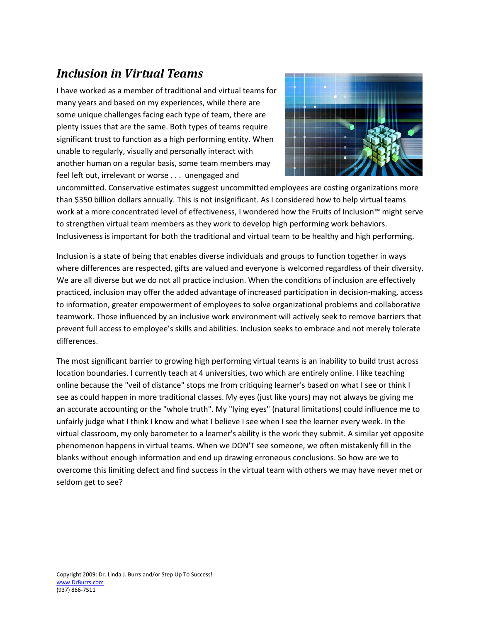# *Inclusion in Virtual Teams*

I have worked as a member of traditional and virtual teams for many years and based on my experiences, while there are some unique challenges facing each type of team, there are plenty issues that are the same. Both types of teams require significant trust to function as a high performing entity. When unable to regularly, visually and personally interact with another human on a regular basis, some team members may feel left out, irrelevant or worse . . . unengaged and



uncommitted. Conservative estimates suggest uncommitted employees are costing organizations more than \$350 billion dollars annually. This is not insignificant. As I considered how to help virtual teams work at a more concentrated level of effectiveness, I wondered how the Fruits of Inclusion™ might serve to strengthen virtual team members as they work to develop high performing work behaviors. Inclusiveness is important for both the traditional and virtual team to be healthy and high performing.

Inclusion is a state of being that enables diverse individuals and groups to function together in ways where differences are respected, gifts are valued and everyone is welcomed regardless of their diversity. We are all diverse but we do not all practice inclusion. When the conditions of inclusion are effectively practiced, inclusion may offer the added advantage of increased participation in decision-making, access to information, greater empowerment of employees to solve organizational problems and collaborative teamwork. Those influenced by an inclusive work environment will actively seek to remove barriers that prevent full access to employee's skills and abilities. Inclusion seeks to embrace and not merely tolerate differences.

The most significant barrier to growing high performing virtual teams is an inability to build trust across location boundaries. I currently teach at 4 universities, two which are entirely online. I like teaching online because the "veil of distance" stops me from critiquing learner's based on what I see or think I see as could happen in more traditional classes. My eyes (just like yours) may not always be giving me an accurate accounting or the "whole truth". My "lying eyes" (natural limitations) could influence me to unfairly judge what I think I know and what I believe I see when I see the learner every week. In the virtual classroom, my only barometer to a learner's ability is the work they submit. A similar yet opposite phenomenon happens in virtual teams. When we DON'T see someone, we often mistakenly fill in the blanks without enough information and end up drawing erroneous conclusions. So how are we to overcome this limiting defect and find success in the virtual team with others we may have never met or seldom get to see?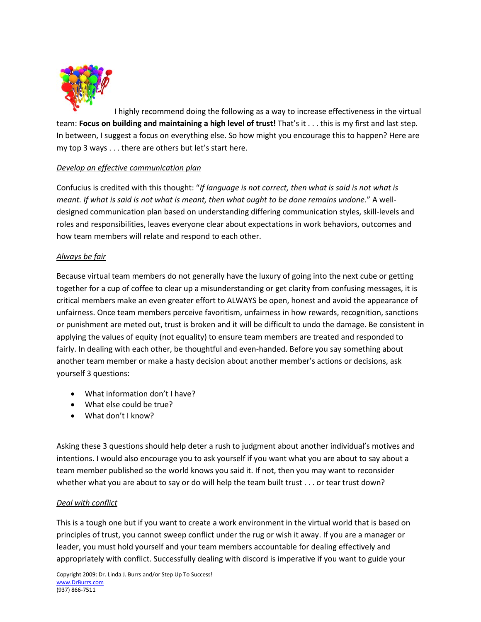

I highly recommend doing the following as a way to increase effectiveness in the virtual team: **Focus on building and maintaining a high level of trust!** That's it . . . this is my first and last step. In between, I suggest a focus on everything else. So how might you encourage this to happen? Here are my top 3 ways . . . there are others but let's start here.

### *Develop an effective communication plan*

Confucius is credited with this thought: "*If language is not correct, then what is said is not what is meant. If what is said is not what is meant, then what ought to be done remains undone*." A welldesigned communication plan based on understanding differing communication styles, skill-levels and roles and responsibilities, leaves everyone clear about expectations in work behaviors, outcomes and how team members will relate and respond to each other.

### *Always be fair*

Because virtual team members do not generally have the luxury of going into the next cube or getting together for a cup of coffee to clear up a misunderstanding or get clarity from confusing messages, it is critical members make an even greater effort to ALWAYS be open, honest and avoid the appearance of unfairness. Once team members perceive favoritism, unfairness in how rewards, recognition, sanctions or punishment are meted out, trust is broken and it will be difficult to undo the damage. Be consistent in applying the values of equity (not equality) to ensure team members are treated and responded to fairly. In dealing with each other, be thoughtful and even-handed. Before you say something about another team member or make a hasty decision about another member's actions or decisions, ask yourself 3 questions:

- What information don't I have?
- What else could be true?
- What don't I know?

Asking these 3 questions should help deter a rush to judgment about another individual's motives and intentions. I would also encourage you to ask yourself if you want what you are about to say about a team member published so the world knows you said it. If not, then you may want to reconsider whether what you are about to say or do will help the team built trust . . . or tear trust down?

# *Deal with conflict*

This is a tough one but if you want to create a work environment in the virtual world that is based on principles of trust, you cannot sweep conflict under the rug or wish it away. If you are a manager or leader, you must hold yourself and your team members accountable for dealing effectively and appropriately with conflict. Successfully dealing with discord is imperative if you want to guide your